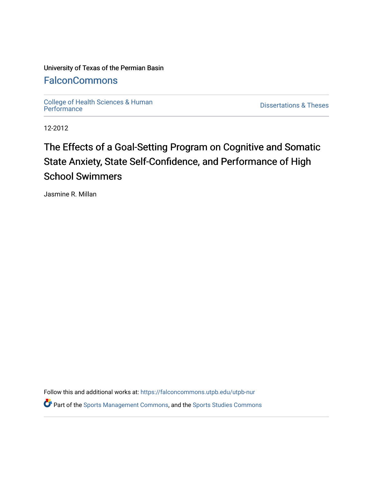### University of Texas of the Permian Basin

## **[FalconCommons](https://falconcommons.utpb.edu/)**

College of Health Sciences & Human<br>Performance

**Dissertations & Theses** 

12-2012

# The Effects of a Goal-Setting Program on Cognitive and Somatic State Anxiety, State Self-Confidence, and Performance of High School Swimmers

Jasmine R. Millan

Follow this and additional works at: [https://falconcommons.utpb.edu/utpb-nur](https://falconcommons.utpb.edu/utpb-nur?utm_source=falconcommons.utpb.edu%2Futpb-nur%2F9&utm_medium=PDF&utm_campaign=PDFCoverPages) 

Part of the [Sports Management Commons](http://network.bepress.com/hgg/discipline/1193?utm_source=falconcommons.utpb.edu%2Futpb-nur%2F9&utm_medium=PDF&utm_campaign=PDFCoverPages), and the [Sports Studies Commons](http://network.bepress.com/hgg/discipline/1198?utm_source=falconcommons.utpb.edu%2Futpb-nur%2F9&utm_medium=PDF&utm_campaign=PDFCoverPages)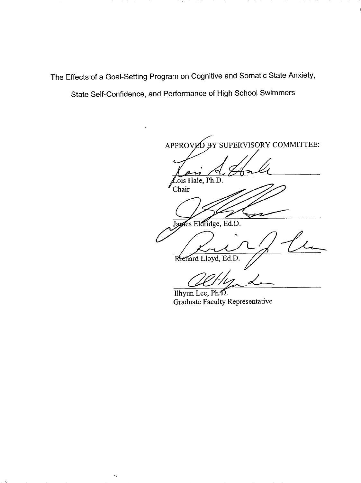The Effects of a Goal-Setting Program on Cognitive and Somatic State Anxiety,

State Self-Confidence, and Performance of High School Swimmers

 $\tilde{\mathcal{H}}_{\mathbf{q}}$ 

APPROVED BY SUPERVISORY COMMITTEE: Lois Hale, Ph.D. Chair waes Eldridge, Ed.D. Richard Lloyd, Ed.D.

Ilhyun Lee, Ph.D. Graduate Faculty Representative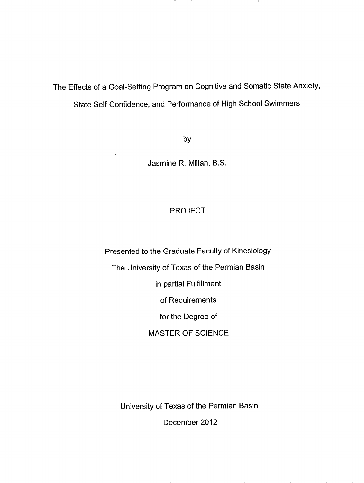The Effects of a Goal-Setting Program on Cognitive and Somatic State Anxiety,

State Self-Confidence, and Performance of High School Swimmers

by

Jasmine R. Millan, B.S.

### PROJECT

Presented to the Graduate Faculty of Kinesiology The University of Texas of the Permian Basin in partial Fulfillment of Requirements for the Degree of MASTER OF SCIENCE

University of Texas of the Permian Basin

December 2012